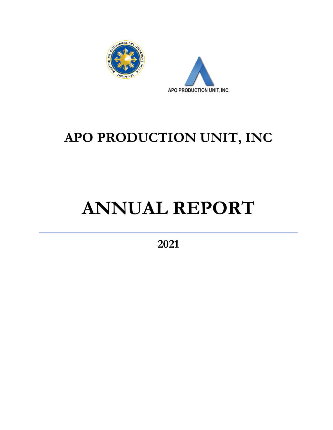



## **APO PRODUCTION UNIT, INC**

## **ANNUAL REPORT**

**2021**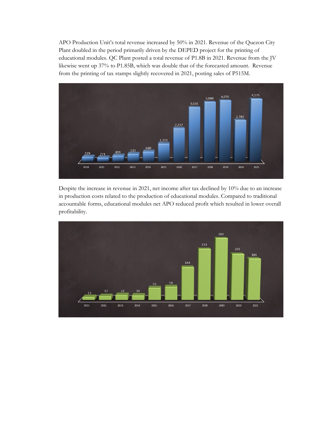APO Production Unit's total revenue increased by 50% in 2021. Revenue of the Quezon City Plant doubled in the period primarily driven by the DEPED project for the printing of educational modules. QC Plant posted a total revenue of P1.8B in 2021. Revenue from the JV likewise went up 37% to P1.85B, which was double that of the forecasted amount. Revenue from the printing of tax stamps slightly recovered in 2021, posting sales of P515M.



Despite the increase in revenue in 2021, net income after tax declined by 10% due to an increase in production costs related to the production of educational modules. Compared to traditional accountable forms, educational modules net APO reduced profit which resulted in lower overall profitability.